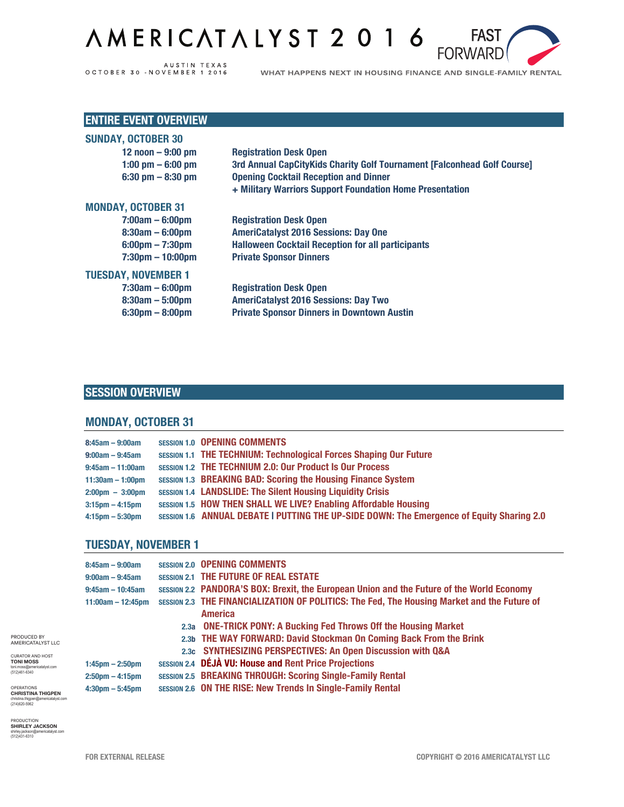# AMERICATALYST 2016



WHAT HAPPENS NEXT IN HOUSING FINANCE AND SINGLE-FAMILY RENTAL

**FAST** 

**FORWARD** 

### **ENTIRE EVENT OVERVIEW**

| <b>Registration Desk Open</b>                                           |
|-------------------------------------------------------------------------|
| 3rd Annual CapCityKids Charity Golf Tournament [Falconhead Golf Course] |
| <b>Opening Cocktail Reception and Dinner</b>                            |
| + Military Warriors Support Foundation Home Presentation                |
|                                                                         |
| <b>Registration Desk Open</b>                                           |
| <b>AmeriCatalyst 2016 Sessions: Day One</b>                             |
| <b>Halloween Cocktail Reception for all participants</b>                |
| <b>Private Sponsor Dinners</b>                                          |
|                                                                         |
| <b>Registration Desk Open</b>                                           |
| <b>AmeriCatalyst 2016 Sessions: Day Two</b>                             |
| <b>Private Sponsor Dinners in Downtown Austin</b>                       |
|                                                                         |

### **SESSION OVERVIEW**

#### **MONDAY, OCTOBER 31**

| $8:45am - 9:00am$                 | <b>SESSION 1.0 OPENING COMMENTS</b>                                                       |
|-----------------------------------|-------------------------------------------------------------------------------------------|
| $9:00am - 9:45am$                 | <b>SESSION 1.1 THE TECHNIUM: Technological Forces Shaping Our Future</b>                  |
| $9:45$ am - 11:00am               | <b>SESSION 1.2 THE TECHNIUM 2.0: Our Product Is Our Process</b>                           |
| $11:30am - 1:00pm$                | <b>SESSION 1.3 BREAKING BAD: Scoring the Housing Finance System</b>                       |
| $2:00 \text{pm} - 3:00 \text{pm}$ | <b>SESSION 1.4 LANDSLIDE: The Silent Housing Liquidity Crisis</b>                         |
| $3:15 \text{pm} - 4:15 \text{pm}$ | SESSION 1.5 HOW THEN SHALL WE LIVE? Enabling Affordable Housing                           |
| $4:15$ pm $-5:30$ pm              | SESSION 1.6 ANNUAL DEBATE I PUTTING THE UP-SIDE DOWN: The Emergence of Equity Sharing 2.0 |

#### **TUESDAY, NOVEMBER 1**

| $8:45am - 9:00am$                 | <b>SESSION 2.0 OPENING COMMENTS</b>                                                              |
|-----------------------------------|--------------------------------------------------------------------------------------------------|
| $9:00am - 9:45am$                 | <b>SESSION 2.1 THE FUTURE OF REAL ESTATE</b>                                                     |
| $9:45am - 10:45am$                | <b>SESSION 2.2 PANDORA'S BOX: Brexit, the European Union and the Future of the World Economy</b> |
| $11:00am - 12:45pm$               | SESSION 2.3 THE FINANCIALIZATION OF POLITICS: The Fed, The Housing Market and the Future of      |
|                                   | <b>America</b>                                                                                   |
|                                   | 2.3a ONE-TRICK PONY: A Bucking Fed Throws Off the Housing Market                                 |
|                                   | 2.3b THE WAY FORWARD: David Stockman On Coming Back From the Brink                               |
|                                   | 2.3c SYNTHESIZING PERSPECTIVES: An Open Discussion with Q&A                                      |
| $1:45$ pm $- 2:50$ pm             | <b>SESSION 2.4 DÉJÀ VU: House and Rent Price Projections</b>                                     |
| $2:50 \text{pm} - 4:15 \text{pm}$ | SESSION 2.5 BREAKING THROUGH: Scoring Single-Family Rental                                       |
| $4:30$ pm $-5:45$ pm              | SESSION 2.6 ON THE RISE: New Trends In Single-Family Rental                                      |

OPERATIONS<br>**CHRISTINA THIGPEN**<br>christina.thigpen@americatalyst.com<br>(214)620-5962

CURATOR AND HOST **TONI MOSS** toni.moss@americatalyst.com (512)461-6340

PRODUCED BY AMERICATALYST LLC

PRODUCTION **SHIRLEY JACKSON** shirley.jackson@americatalyst.com shirley.jackson@a<br>(512)431-6310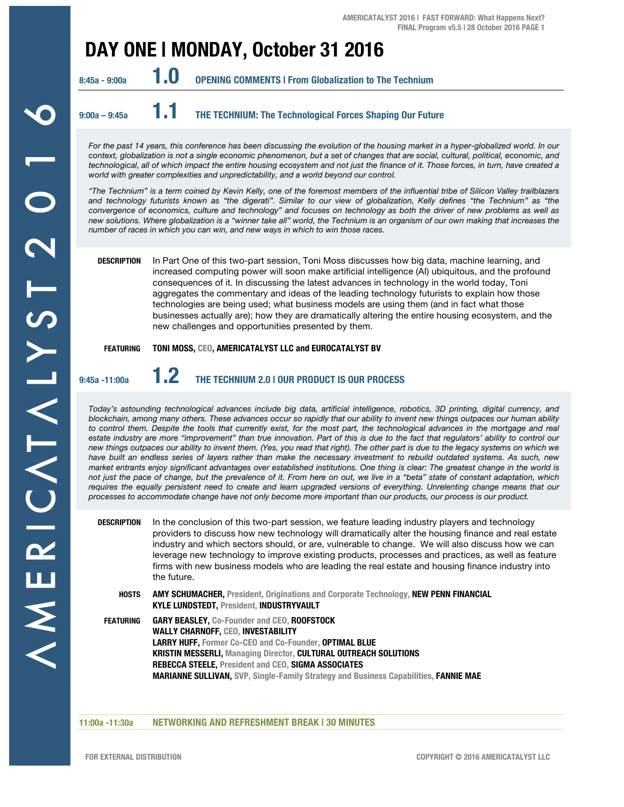## **DAY ONE | MONDAY, October 31 2016**



**9:00a – 9:45a 1.1 THE TECHNIUM: The Technological Forces Shaping Our Future** 

For the past 14 years, this conference has been discussing the evolution of the housing market in a hyper-globalized world. In our *context, globalization is not a single economic phenomenon, but a set of changes that are social, cultural, political, economic, and technological, all of which impact the entire housing ecosystem and not just the finance of it. Those forces, in turn, have created a world with greater complexities and unpredictability, and a world beyond our control.* 

*"The Technium" is a term coined by Kevin Kelly, one of the foremost members of the influential tribe of Silicon Valley trailblazers and technology futurists known as "the digerati". Similar to our view of globalization, Kelly defines "the Technium" as "the convergence of economics, culture and technology" and focuses on technology as both the driver of new problems as well as new solutions. Where globalization is a "winner take all" world, the Technium is an organism of our own making that increases the number of races in which you can win, and new ways in which to win those races.*

**DESCRIPTION** In Part One of this two-part session, Toni Moss discusses how big data, machine learning, and increased computing power will soon make artificial intelligence (AI) ubiquitous, and the profound consequences of it. In discussing the latest advances in technology in the world today, Toni aggregates the commentary and ideas of the leading technology futurists to explain how those technologies are being used; what business models are using them (and in fact what those businesses actually are); how they are dramatically altering the entire housing ecosystem, and the new challenges and opportunities presented by them.

#### **FEATURING TONI MOSS, CEO, AMERICATALYST LLC and EUROCATALYST BV**

## **9:45a -11:00a 1.2 THE TECHNIUM 2.0 | OUR PRODUCT IS OUR PROCESS**

*Today's astounding technological advances include big data, artificial intelligence, robotics, 3D printing, digital currency, and blockchain, among many others. These advances occur so rapidly that our ability to invent new things outpaces our human ability*  to control them. Despite the tools that currently exist, for the most part, the technological advances in the mortgage and real *estate industry are more "improvement" than true innovation. Part of this is due to the fact that regulators' ability to control our new things outpaces our ability to invent them. (Yes, you read that right). The other part is due to the legacy systems on which we have built an endless series of layers rather than make the necessary investment to rebuild outdated systems. As such, new market entrants enjoy significant advantages over established institutions. One thing is clear: The greatest change in the world is not just the pace of change, but the prevalence of it. From here on out, we live in a "beta" state of constant adaptation, which*  requires the equally persistent need to create and learn upgraded versions of everything. Unrelenting change means that our *processes to accommodate change have not only become more important than our products, our process is our product.*

| DESCRIPTION      | In the conclusion of this two-part session, we feature leading industry players and technology<br>providers to discuss how new technology will dramatically alter the housing finance and real estate<br>industry and which sectors should, or are, vulnerable to change. We will also discuss how we can<br>leverage new technology to improve existing products, processes and practices, as well as feature<br>firms with new business models who are leading the real estate and housing finance industry into<br>the future. |
|------------------|-----------------------------------------------------------------------------------------------------------------------------------------------------------------------------------------------------------------------------------------------------------------------------------------------------------------------------------------------------------------------------------------------------------------------------------------------------------------------------------------------------------------------------------|
| <b>HOSTS</b>     | <b>AMY SCHUMACHER, President, Originations and Corporate Technology, NEW PENN FINANCIAL</b><br><b>KYLE LUNDSTEDT, President, INDUSTRYVAULT</b>                                                                                                                                                                                                                                                                                                                                                                                    |
| <b>FEATURING</b> | <b>GARY BEASLEY, Co-Founder and CEO, ROOFSTOCK</b><br><b>WALLY CHARNOFF, CEO, INVESTABILITY</b><br><b>LARRY HUFF, Former Co-CEO and Co-Founder, OPTIMAL BLUE</b><br><b>KRISTIN MESSERLI, Managing Director, CULTURAL OUTREACH SOLUTIONS</b><br>REBECCA STEELE, President and CEO, SIGMA ASSOCIATES<br><b>MARIANNE SULLIVAN, SVP. Single-Family Strategy and Business Capabilities, FANNIE MAE</b>                                                                                                                                 |

#### **11:00a -11:30a NETWORKING AND REFRESHMENT BREAK | 30 MINUTES**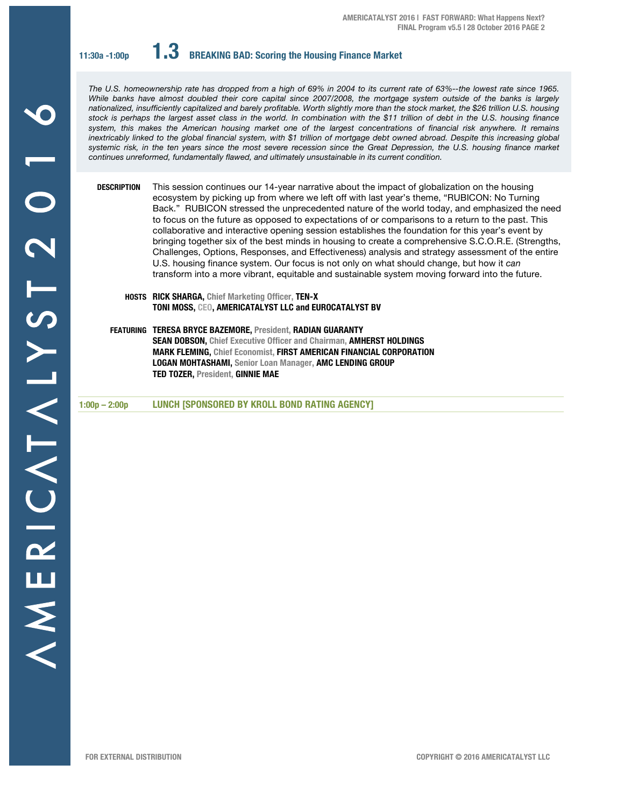**11:30a -1:00p 1.3 BREAKING BAD: Scoring the Housing Finance Market**

*The U.S. homeownership rate has dropped from a high of 69% in 2004 to its current rate of 63%--the lowest rate since 1965. While banks have almost doubled their core capital since 2007/2008, the mortgage system outside of the banks is largely nationalized, insufficiently capitalized and barely profitable. Worth slightly more than the stock market, the \$26 trillion U.S. housing stock is perhaps the largest asset class in the world. In combination with the \$11 trillion of debt in the U.S. housing finance system, this makes the American housing market one of the largest concentrations of financial risk anywhere. It remains inextricably linked to the global financial system, with \$1 trillion of mortgage debt owned abroad. Despite this increasing global systemic risk, in the ten years since the most severe recession since the Great Depression, the U.S. housing finance market continues unreformed, fundamentally flawed, and ultimately unsustainable in its current condition.* 

**DESCRIPTION** This session continues our 14-year narrative about the impact of globalization on the housing ecosystem by picking up from where we left off with last year's theme, "RUBICON: No Turning Back." RUBICON stressed the unprecedented nature of the world today, and emphasized the need to focus on the future as opposed to expectations of or comparisons to a return to the past. This collaborative and interactive opening session establishes the foundation for this year's event by bringing together six of the best minds in housing to create a comprehensive S.C.O.R.E. (Strengths, Challenges, Options, Responses, and Effectiveness) analysis and strategy assessment of the entire U.S. housing finance system. Our focus is not only on what should change, but how it *can* transform into a more vibrant, equitable and sustainable system moving forward into the future.

- **HOSTS RICK SHARGA, Chief Marketing Officer, TEN-X TONI MOSS, CEO, AMERICATALYST LLC and EUROCATALYST BV**
- **FEATURING TERESA BRYCE BAZEMORE, President, RADIAN GUARANTY SEAN DOBSON, Chief Executive Officer and Chairman, AMHERST HOLDINGS MARK FLEMING, Chief Economist, FIRST AMERICAN FINANCIAL CORPORATION LOGAN MOHTASHAMI, Senior Loan Manager, AMC LENDING GROUP TED TOZER, President, GINNIE MAE**

**1:00p – 2:00p LUNCH [SPONSORED BY KROLL BOND RATING AGENCY]**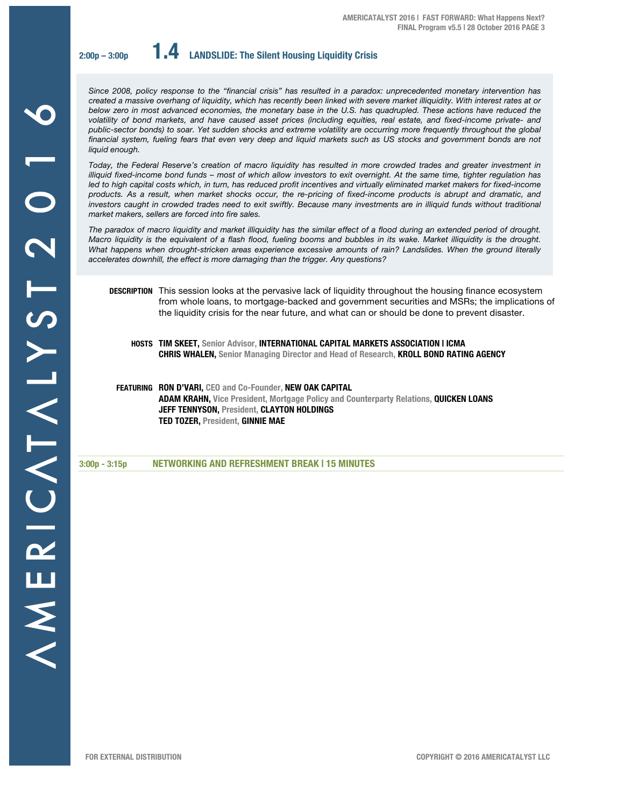**2:00p – 3:00p 1.4 LANDSLIDE: The Silent Housing Liquidity Crisis**

*Since 2008, policy response to the "financial crisis" has resulted in a paradox: unprecedented monetary intervention has created a massive overhang of liquidity, which has recently been linked with severe market illiquidity. With interest rates at or below zero in most advanced economies, the monetary base in the U.S. has quadrupled. These actions have reduced the volatility of bond markets, and have caused asset prices (including equities, real estate, and fixed-income private- and public-sector bonds) to soar. Yet sudden shocks and extreme volatility are occurring more frequently throughout the global*  financial system, fueling fears that even very deep and liquid markets such as US stocks and government bonds are not *liquid enough.*

*Today, the Federal Reserve's creation of macro liquidity has resulted in more crowded trades and greater investment in illiquid fixed-income bond funds – most of which allow investors to exit overnight. At the same time, tighter regulation has*  led to high capital costs which, in turn, has reduced profit incentives and virtually eliminated market makers for fixed-income *products. As a result, when market shocks occur, the re-pricing of fixed-income products is abrupt and dramatic, and*  investors caught in crowded trades need to exit swiftly. Because many investments are in illiquid funds without traditional *market makers, sellers are forced into fire sales.* 

*The paradox of macro liquidity and market illiquidity has the similar effect of a flood during an extended period of drought. Macro liquidity is the equivalent of a flash flood, fueling booms and bubbles in its wake. Market illiquidity is the drought. What happens when drought-stricken areas experience excessive amounts of rain? Landslides. When the ground literally accelerates downhill, the effect is more damaging than the trigger. Any questions?*

**DESCRIPTION** This session looks at the pervasive lack of liquidity throughout the housing finance ecosystem from whole loans, to mortgage-backed and government securities and MSRs; the implications of the liquidity crisis for the near future, and what can or should be done to prevent disaster.

**HOSTS TIM SKEET, Senior Advisor, INTERNATIONAL CAPITAL MARKETS ASSOCIATION | ICMA CHRIS WHALEN, Senior Managing Director and Head of Research, KROLL BOND RATING AGENCY**

**FEATURING RON D'VARI, CEO and Co-Founder, NEW OAK CAPITAL ADAM KRAHN, Vice President, Mortgage Policy and Counterparty Relations, QUICKEN LOANS JEFF TENNYSON, President, CLAYTON HOLDINGS TED TOZER, President, GINNIE MAE**

**3:00p - 3:15p NETWORKING AND REFRESHMENT BREAK | 15 MINUTES**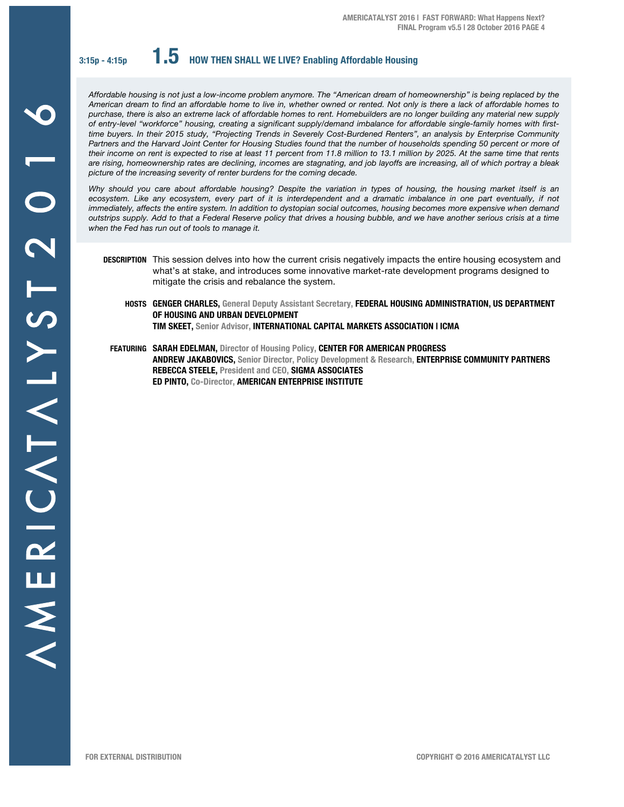**3:15p - 4:15p 1.5 HOW THEN SHALL WE LIVE? Enabling Affordable Housing** 

*Affordable housing is not just a low-income problem anymore. The "American dream of homeownership" is being replaced by the American dream to find an affordable home to live in, whether owned or rented. Not only is there a lack of affordable homes to purchase, there is also an extreme lack of affordable homes to rent. Homebuilders are no longer building any material new supply of entry-level "workforce" housing, creating a significant supply/demand imbalance for affordable single-family homes with firsttime buyers. In their 2015 study, "Projecting Trends in Severely Cost-Burdened Renters", an analysis by Enterprise Community*  Partners and the Harvard Joint Center for Housing Studies found that the number of households spending 50 percent or more of *their income on rent is expected to rise at least 11 percent from 11.8 million to 13.1 million by 2025. At the same time that rents are rising, homeownership rates are declining, incomes are stagnating, and job layoffs are increasing, all of which portray a bleak picture of the increasing severity of renter burdens for the coming decade.* 

*Why should you care about affordable housing? Despite the variation in types of housing, the housing market itself is an ecosystem. Like any ecosystem, every part of it is interdependent and a dramatic imbalance in one part eventually, if not immediately, affects the entire system. In addition to dystopian social outcomes, housing becomes more expensive when demand outstrips supply. Add to that a Federal Reserve policy that drives a housing bubble, and we have another serious crisis at a time when the Fed has run out of tools to manage it.*

- **DESCRIPTION** This session delves into how the current crisis negatively impacts the entire housing ecosystem and what's at stake, and introduces some innovative market-rate development programs designed to mitigate the crisis and rebalance the system.
	- **HOSTS GENGER CHARLES, General Deputy Assistant Secretary, FEDERAL HOUSING ADMINISTRATION, US DEPARTMENT OF HOUSING AND URBAN DEVELOPMENT TIM SKEET, Senior Advisor, INTERNATIONAL CAPITAL MARKETS ASSOCIATION | ICMA**
	- **FEATURING SARAH EDELMAN, Director of Housing Policy, CENTER FOR AMERICAN PROGRESS ANDREW JAKABOVICS, Senior Director, Policy Development & Research, ENTERPRISE COMMUNITY PARTNERS REBECCA STEELE, President and CEO, SIGMA ASSOCIATES ED PINTO, Co-Director, AMERICAN ENTERPRISE INSTITUTE**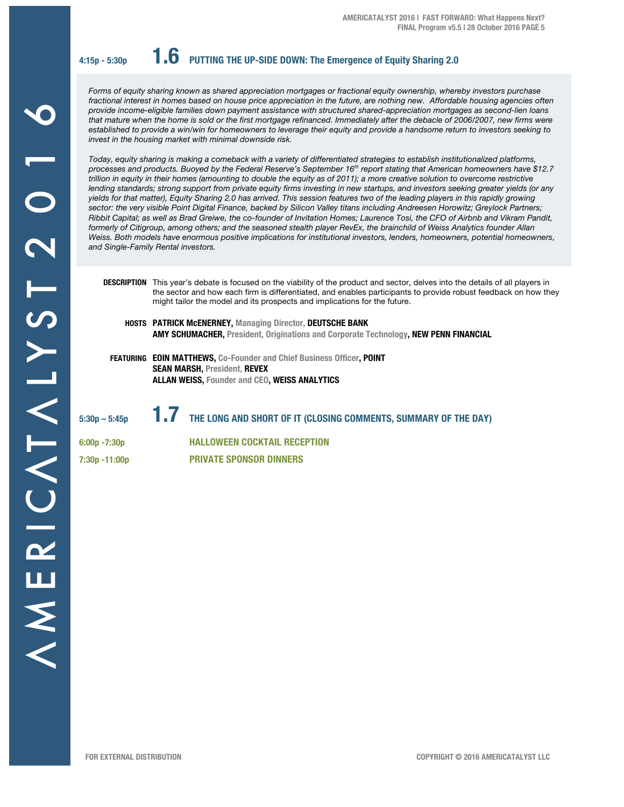**4:15p - 5:30p 1.6 PUTTING THE UP-SIDE DOWN: The Emergence of Equity Sharing 2.0**

*Forms of equity sharing known as shared appreciation mortgages or fractional equity ownership, whereby investors purchase fractional interest in homes based on house price appreciation in the future, are nothing new. Affordable housing agencies often provide income-eligible families down payment assistance with structured shared-appreciation mortgages as second-lien loans that mature when the home is sold or the first mortgage refinanced. Immediately after the debacle of 2006/2007, new firms were established to provide a win/win for homeowners to leverage their equity and provide a handsome return to investors seeking to invest in the housing market with minimal downside risk.* 

*Today, equity sharing is making a comeback with a variety of differentiated strategies to establish institutionalized platforms, processes and products. Buoyed by the Federal Reserve's September 16th report stating that American homeowners have \$12.7 trillion in equity in their homes (amounting to double the equity as of 2011); a more creative solution to overcome restrictive*  lending standards; strong support from private equity firms investing in new startups, and investors seeking greater yields (or any *yields for that matter), Equity Sharing 2.0 has arrived. This session features two of the leading players in this rapidly growing sector: the very visible Point Digital Finance, backed by Silicon Valley titans including Andreesen Horowitz; Greylock Partners; Ribbit Capital; as well as Brad Greiwe, the co-founder of Invitation Homes; Laurence Tosi, the CFO of Airbnb and Vikram Pandit, formerly of Citigroup, among others; and the seasoned stealth player RevEx, the brainchild of Weiss Analytics founder Allan Weiss. Both models have enormous positive implications for institutional investors, lenders, homeowners, potential homeowners, and Single-Family Rental investors.* 

**DESCRIPTION** This year's debate is focused on the viability of the product and sector, delves into the details of all players in the sector and how each firm is differentiated, and enables participants to provide robust feedback on how they might tailor the model and its prospects and implications for the future.

- **HOSTS PATRICK McENERNEY, Managing Director, DEUTSCHE BANK AMY SCHUMACHER, President, Originations and Corporate Technology, NEW PENN FINANCIAL**
- **FEATURING EOIN MATTHEWS, Co-Founder and Chief Business Officer, POINT SEAN MARSH, President, REVEX ALLAN WEISS, Founder and CEO, WEISS ANALYTICS**

**5:30p – 5:45p 1.7 THE LONG AND SHORT OF IT (CLOSING COMMENTS, SUMMARY OF THE DAY)**

**6:00p -7:30p HALLOWEEN COCKTAIL RECEPTION 7:30p -11:00p PRIVATE SPONSOR DINNERS**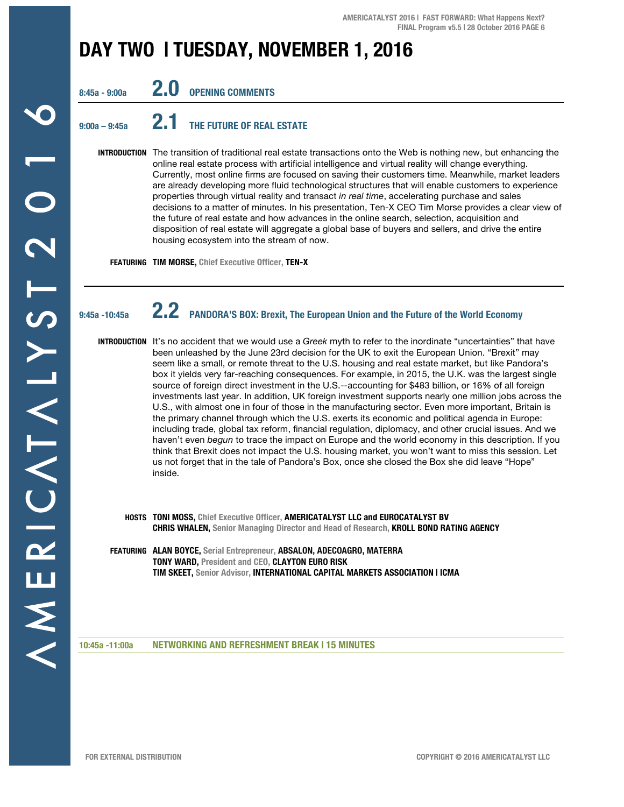## **DAY TWO | TUESDAY, NOVEMBER 1, 2016**

**8:45a - 9:00a 2.0 OPENING COMMENTS** 

## **9:00a – 9:45a 2.1 THE FUTURE OF REAL ESTATE**

**INTRODUCTION** The transition of traditional real estate transactions onto the Web is nothing new, but enhancing the online real estate process with artificial intelligence and virtual reality will change everything. Currently, most online firms are focused on saving their customers time. Meanwhile, market leaders are already developing more fluid technological structures that will enable customers to experience properties through virtual reality and transact *in real time*, accelerating purchase and sales decisions to a matter of minutes. In his presentation, Ten-X CEO Tim Morse provides a clear view of the future of real estate and how advances in the online search, selection, acquisition and disposition of real estate will aggregate a global base of buyers and sellers, and drive the entire housing ecosystem into the stream of now.

**FEATURING TIM MORSE, Chief Executive Officer, TEN-X**

## **9:45a -10:45a 2.2 PANDORA'S BOX: Brexit, The European Union and the Future of the World Economy**

**INTRODUCTION** It's no accident that we would use a *Greek* myth to refer to the inordinate "uncertainties" that have been unleashed by the June 23rd decision for the UK to exit the European Union. "Brexit" may seem like a small, or remote threat to the U.S. housing and real estate market, but like Pandora's box it yields very far-reaching consequences. For example, in 2015, the U.K. was the largest single source of foreign direct investment in the U.S.--accounting for \$483 billion, or 16% of all foreign investments last year. In addition, UK foreign investment supports nearly one million jobs across the U.S., with almost one in four of those in the manufacturing sector. Even more important, Britain is the primary channel through which the U.S. exerts its economic and political agenda in Europe: including trade, global tax reform, financial regulation, diplomacy, and other crucial issues. And we haven't even *begun* to trace the impact on Europe and the world economy in this description. If you think that Brexit does not impact the U.S. housing market, you won't want to miss this session. Let us not forget that in the tale of Pandora's Box, once she closed the Box she did leave "Hope" inside.

- **HOSTS TONI MOSS, Chief Executive Officer, AMERICATALYST LLC and EUROCATALYST BV CHRIS WHALEN, Senior Managing Director and Head of Research, KROLL BOND RATING AGENCY**
- **FEATURING ALAN BOYCE, Serial Entrepreneur, ABSALON, ADECOAGRO, MATERRA TONY WARD, President and CEO, CLAYTON EURO RISK TIM SKEET, Senior Advisor, INTERNATIONAL CAPITAL MARKETS ASSOCIATION | ICMA**

#### **10:45a -11:00a NETWORKING AND REFRESHMENT BREAK | 15 MINUTES**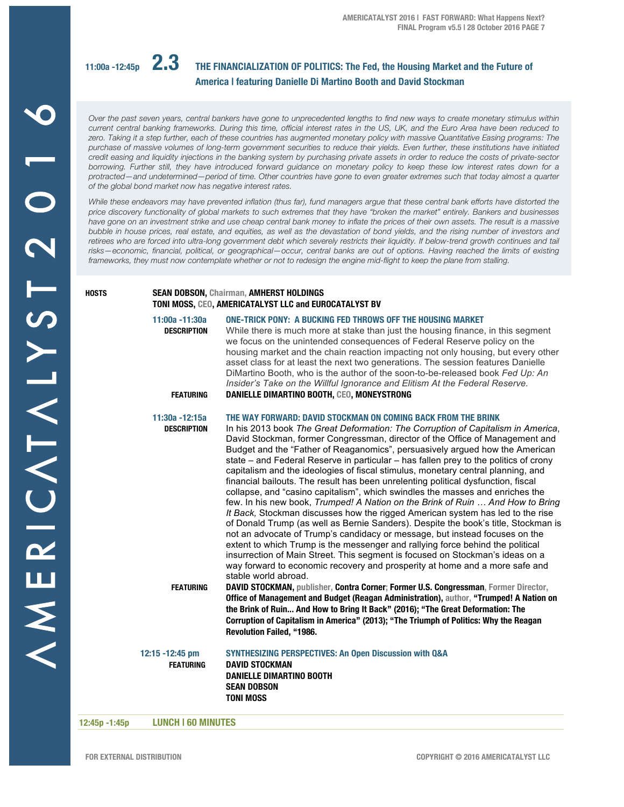

## **11:00a -12:45p 2.3 THE FINANCIALIZATION OF POLITICS: The Fed, the Housing Market and the Future of America | featuring Danielle Di Martino Booth and David Stockman**

*Over the past seven years, central bankers have gone to unprecedented lengths to find new ways to create monetary stimulus within current central banking frameworks. During this time, official interest rates in the US, UK, and the Euro Area have been reduced to zero. Taking it a step further, each of these countries has augmented monetary policy with massive Quantitative Easing programs: The purchase of massive volumes of long-term government securities to reduce their yields. Even further, these institutions have initiated credit easing and liquidity injections in the banking system by purchasing private assets in order to reduce the costs of private-sector borrowing. Further still, they have introduced forward guidance on monetary policy to keep these low interest rates down for a protracted—and undetermined—period of time. Other countries have gone to even greater extremes such that today almost a quarter of the global bond market now has negative interest rates.*

*While these endeavors may have prevented inflation (thus far), fund managers argue that these central bank efforts have distorted the price discovery functionality of global markets to such extremes that they have "broken the market" entirely. Bankers and businesses*  have gone on an investment strike and use cheap central bank money to inflate the prices of their own assets. The result is a massive *bubble in house prices, real estate, and equities, as well as the devastation of bond yields, and the rising number of investors and*  retirees who are forced into ultra-long government debt which severely restricts their liquidity. If below-trend growth continues and tail *risks—economic, financial, political, or geographical—occur, central banks are out of options. Having reached the limits of existing frameworks, they must now contemplate whether or not to redesign the engine mid-flight to keep the plane from stalling.*

#### **HOSTS SEAN DOBSON, Chairman, AMHERST HOLDINGS TONI MOSS, CEO, AMERICATALYST LLC and EUROCATALYST BV**

| 11:00a -11:30a<br><b>DESCRIPTION</b>  | ONE-TRICK PONY: A BUCKING FED THROWS OFF THE HOUSING MARKET<br>While there is much more at stake than just the housing finance, in this segment<br>we focus on the unintended consequences of Federal Reserve policy on the<br>housing market and the chain reaction impacting not only housing, but every other<br>asset class for at least the next two generations. The session features Danielle<br>DiMartino Booth, who is the author of the soon-to-be-released book Fed Up: An<br>Insider's Take on the Willful Ignorance and Elitism At the Federal Reserve.                                                                                                                                                                                                                                                                                                                                                                                                                                                                                                                                                                                                                                                                                                                   |
|---------------------------------------|----------------------------------------------------------------------------------------------------------------------------------------------------------------------------------------------------------------------------------------------------------------------------------------------------------------------------------------------------------------------------------------------------------------------------------------------------------------------------------------------------------------------------------------------------------------------------------------------------------------------------------------------------------------------------------------------------------------------------------------------------------------------------------------------------------------------------------------------------------------------------------------------------------------------------------------------------------------------------------------------------------------------------------------------------------------------------------------------------------------------------------------------------------------------------------------------------------------------------------------------------------------------------------------|
| <b>FEATURING</b>                      | DANIELLE DIMARTINO BOOTH, CEO, MONEYSTRONG                                                                                                                                                                                                                                                                                                                                                                                                                                                                                                                                                                                                                                                                                                                                                                                                                                                                                                                                                                                                                                                                                                                                                                                                                                             |
| 11:30a - 12:15a<br><b>DESCRIPTION</b> | THE WAY FORWARD: DAVID STOCKMAN ON COMING BACK FROM THE BRINK<br>In his 2013 book The Great Deformation: The Corruption of Capitalism in America,<br>David Stockman, former Congressman, director of the Office of Management and<br>Budget and the "Father of Reaganomics", persuasively argued how the American<br>state – and Federal Reserve in particular – has fallen prey to the politics of crony<br>capitalism and the ideologies of fiscal stimulus, monetary central planning, and<br>financial bailouts. The result has been unrelenting political dysfunction, fiscal<br>collapse, and "casino capitalism", which swindles the masses and enriches the<br>few. In his new book, Trumped! A Nation on the Brink of Ruin  And How to Bring<br>It Back, Stockman discusses how the rigged American system has led to the rise<br>of Donald Trump (as well as Bernie Sanders). Despite the book's title, Stockman is<br>not an advocate of Trump's candidacy or message, but instead focuses on the<br>extent to which Trump is the messenger and rallying force behind the political<br>insurrection of Main Street. This segment is focused on Stockman's ideas on a<br>way forward to economic recovery and prosperity at home and a more safe and<br>stable world abroad. |
| <b>FEATURING</b>                      | DAVID STOCKMAN, publisher, Contra Corner; Former U.S. Congressman, Former Director,<br>Office of Management and Budget (Reagan Administration), author, "Trumped! A Nation on<br>the Brink of Ruin And How to Bring It Back" (2016); "The Great Deformation: The<br>Corruption of Capitalism in America" (2013); "The Triumph of Politics: Why the Reagan<br>Revolution Failed, "1986.                                                                                                                                                                                                                                                                                                                                                                                                                                                                                                                                                                                                                                                                                                                                                                                                                                                                                                 |
| 12:15 -12:45 pm<br><b>FEATURING</b>   | <b>SYNTHESIZING PERSPECTIVES: An Open Discussion with Q&amp;A</b><br><b>DAVID STOCKMAN</b><br><b>DANIELLE DIMARTINO BOOTH</b><br><b>SEAN DOBSON</b><br><b>TONI MOSS</b>                                                                                                                                                                                                                                                                                                                                                                                                                                                                                                                                                                                                                                                                                                                                                                                                                                                                                                                                                                                                                                                                                                                |
|                                       |                                                                                                                                                                                                                                                                                                                                                                                                                                                                                                                                                                                                                                                                                                                                                                                                                                                                                                                                                                                                                                                                                                                                                                                                                                                                                        |

**12:45p -1:45p LUNCH | 60 MINUTES**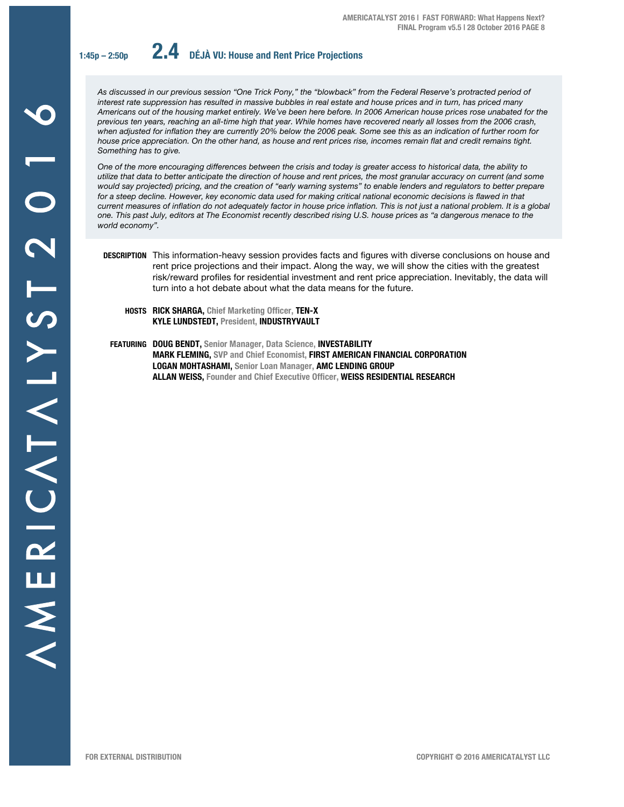

**1:45p – 2:50p 2.4 DÉJÀ VU: House and Rent Price Projections**

*As discussed in our previous session "One Trick Pony," the "blowback" from the Federal Reserve's protracted period of interest rate suppression has resulted in massive bubbles in real estate and house prices and in turn, has priced many Americans out of the housing market entirely. We've been here before. In 2006 American house prices rose unabated for the previous ten years, reaching an all-time high that year. While homes have recovered nearly all losses from the 2006 crash, when adjusted for inflation they are currently 20% below the 2006 peak. Some see this as an indication of further room for house price appreciation. On the other hand, as house and rent prices rise, incomes remain flat and credit remains tight. Something has to give.*

*One of the more encouraging differences between the crisis and today is greater access to historical data, the ability to utilize that data to better anticipate the direction of house and rent prices, the most granular accuracy on current (and some would say projected) pricing, and the creation of "early warning systems" to enable lenders and regulators to better prepare*  for a steep decline. However, key economic data used for making critical national economic decisions is flawed in that *current measures of inflation do not adequately factor in house price inflation. This is not just a national problem. It is a global one. This past July, editors at The Economist recently described rising U.S. house prices as "a dangerous menace to the world economy".* 

- **DESCRIPTION** This information-heavy session provides facts and figures with diverse conclusions on house and rent price projections and their impact. Along the way, we will show the cities with the greatest risk/reward profiles for residential investment and rent price appreciation. Inevitably, the data will turn into a hot debate about what the data means for the future.
	- **HOSTS RICK SHARGA, Chief Marketing Officer, TEN-X KYLE LUNDSTEDT, President, INDUSTRYVAULT**
- **FEATURING DOUG BENDT, Senior Manager, Data Science, INVESTABILITY MARK FLEMING, SVP and Chief Economist, FIRST AMERICAN FINANCIAL CORPORATION LOGAN MOHTASHAMI, Senior Loan Manager, AMC LENDING GROUP ALLAN WEISS, Founder and Chief Executive Officer, WEISS RESIDENTIAL RESEARCH**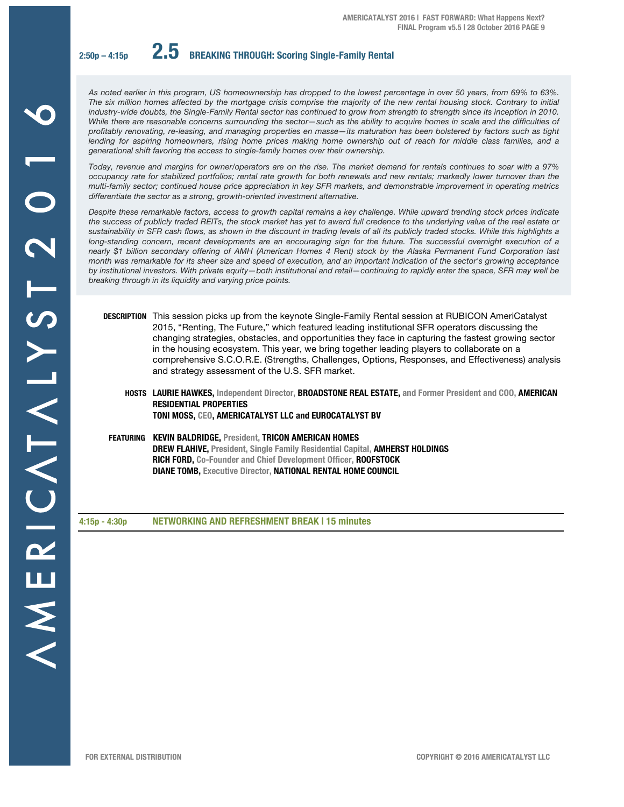**2:50p – 4:15p 2.5 BREAKING THROUGH: Scoring Single-Family Rental**

*As noted earlier in this program, US homeownership has dropped to the lowest percentage in over 50 years, from 69% to 63%. The six million homes affected by the mortgage crisis comprise the majority of the new rental housing stock. Contrary to initial*  industry-wide doubts, the Single-Family Rental sector has continued to grow from strength to strength since its inception in 2010. *While there are reasonable concerns surrounding the sector—such as the ability to acquire homes in scale and the difficulties of profitably renovating, re-leasing, and managing properties en masse—its maturation has been bolstered by factors such as tight*  lending for aspiring homeowners, rising home prices making home ownership out of reach for middle class families, and a *generational shift favoring the access to single-family homes over their ownership.* 

*Today, revenue and margins for owner/operators are on the rise. The market demand for rentals continues to soar with a 97% occupancy rate for stabilized portfolios; rental rate growth for both renewals and new rentals; markedly lower turnover than the multi-family sector; continued house price appreciation in key SFR markets, and demonstrable improvement in operating metrics differentiate the sector as a strong, growth-oriented investment alternative.* 

*Despite these remarkable factors, access to growth capital remains a key challenge. While upward trending stock prices indicate the success of publicly traded REITs, the stock market has yet to award full credence to the underlying value of the real estate or sustainability in SFR cash flows, as shown in the discount in trading levels of all its publicly traded stocks. While this highlights a long-standing concern, recent developments are an encouraging sign for the future. The successful overnight execution of a nearly \$1 billion secondary offering of AMH (American Homes 4 Rent) stock by the Alaska Permanent Fund Corporation last month was remarkable for its sheer size and speed of execution, and an important indication of the sector's growing acceptance by institutional investors. With private equity—both institutional and retail—continuing to rapidly enter the space, SFR may well be breaking through in its liquidity and varying price points.* 

- **DESCRIPTION** This session picks up from the keynote Single-Family Rental session at RUBICON AmeriCatalyst 2015, "Renting, The Future," which featured leading institutional SFR operators discussing the changing strategies, obstacles, and opportunities they face in capturing the fastest growing sector in the housing ecosystem. This year, we bring together leading players to collaborate on a comprehensive S.C.O.R.E. (Strengths, Challenges, Options, Responses, and Effectiveness) analysis and strategy assessment of the U.S. SFR market.
	- **HOSTS LAURIE HAWKES, Independent Director, BROADSTONE REAL ESTATE, and Former President and COO, AMERICAN RESIDENTIAL PROPERTIES TONI MOSS, CEO, AMERICATALYST LLC and EUROCATALYST BV**

 **FEATURING KEVIN BALDRIDGE, President, TRICON AMERICAN HOMES DREW FLAHIVE, President, Single Family Residential Capital, AMHERST HOLDINGS RICH FORD, Co-Founder and Chief Development Officer, ROOFSTOCK** 

**DIANE TOMB, Executive Director, NATIONAL RENTAL HOME COUNCIL**

**4:15p - 4:30p NETWORKING AND REFRESHMENT BREAK | 15 minutes**